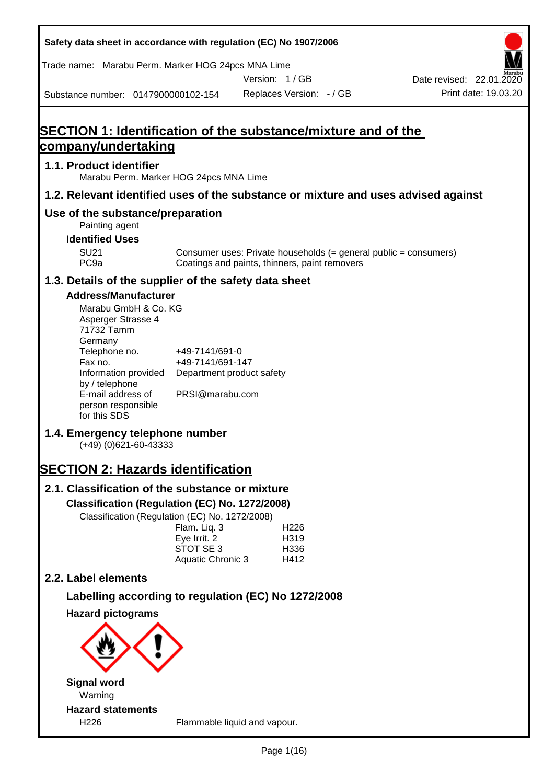**Safety data sheet in accordance with regulation (EC) No 1907/2006** Substance number: 0147900000102-154 Version: 1 / GB Replaces Version: - / GB Print date: 19.03.20 Date revised: 22.01.2020 Trade name: Marabu Perm. Marker HOG 24pcs MNA Lime **SECTION 1: Identification of the substance/mixture and of the company/undertaking 1.1. Product identifier** Marabu Perm. Marker HOG 24pcs MNA Lime **1.2. Relevant identified uses of the substance or mixture and uses advised against Use of the substance/preparation** Painting agent **Identified Uses** SU21 Consumer uses: Private households (= general public = consumers)<br>PC9a Coatings and paints, thinners, paint removers Coatings and paints, thinners, paint removers **1.3. Details of the supplier of the safety data sheet Address/Manufacturer** Marabu GmbH & Co. KG Asperger Strasse 4 71732 Tamm **Germany** Telephone no. +49-7141/691-0 Fax no.  $+49-7141/691-147$ Information provided Department product safety by / telephone E-mail address of person responsible for this SDS PRSI@marabu.com **1.4. Emergency telephone number** (+49) (0)621-60-43333 **SECTION 2: Hazards identification 2.1. Classification of the substance or mixture Classification (Regulation (EC) No. 1272/2008)** Classification (Regulation (EC) No. 1272/2008) Flam. Liq. 3 H226 Eye Irrit. 2 H319 STOT SE 3 H336 Aquatic Chronic 3 H412 **2.2. Label elements Labelling according to regulation (EC) No 1272/2008 Hazard pictograms Signal word** Warning **Hazard statements** H226 Flammable liquid and vapour.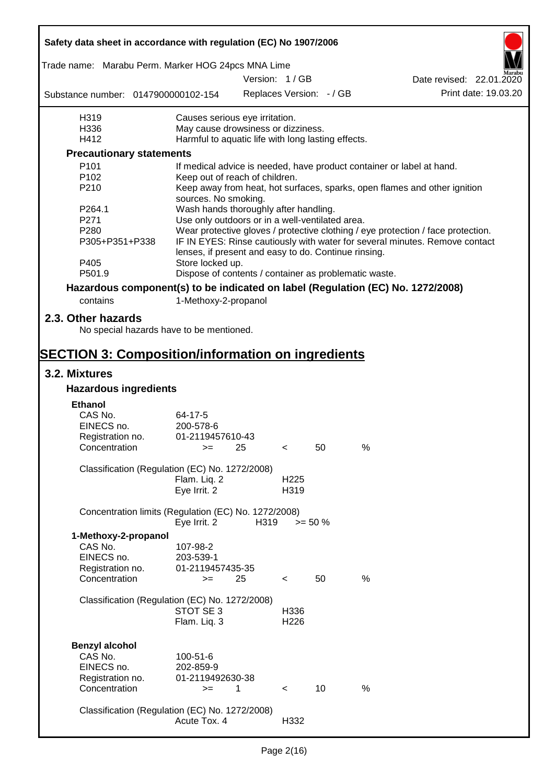| Safety data sheet in accordance with regulation (EC) No 1907/2006 |                                                                                          |               |                  |                          |                                                                                  |  |  |
|-------------------------------------------------------------------|------------------------------------------------------------------------------------------|---------------|------------------|--------------------------|----------------------------------------------------------------------------------|--|--|
| Trade name: Marabu Perm. Marker HOG 24pcs MNA Lime                |                                                                                          |               |                  |                          |                                                                                  |  |  |
|                                                                   |                                                                                          | Version: 1/GB |                  |                          | Date revised: 22.01.2020                                                         |  |  |
| Substance number: 0147900000102-154                               |                                                                                          |               |                  | Replaces Version: - / GB | Print date: 19.03.20                                                             |  |  |
| H319                                                              | Causes serious eye irritation.                                                           |               |                  |                          |                                                                                  |  |  |
| H336                                                              | May cause drowsiness or dizziness.                                                       |               |                  |                          |                                                                                  |  |  |
| H412                                                              | Harmful to aquatic life with long lasting effects.                                       |               |                  |                          |                                                                                  |  |  |
| <b>Precautionary statements</b>                                   |                                                                                          |               |                  |                          |                                                                                  |  |  |
| P101                                                              |                                                                                          |               |                  |                          | If medical advice is needed, have product container or label at hand.            |  |  |
| P <sub>102</sub><br>P210                                          | Keep out of reach of children.                                                           |               |                  |                          | Keep away from heat, hot surfaces, sparks, open flames and other ignition        |  |  |
| P264.1                                                            | sources. No smoking.                                                                     |               |                  |                          |                                                                                  |  |  |
| P271                                                              | Wash hands thoroughly after handling.<br>Use only outdoors or in a well-ventilated area. |               |                  |                          |                                                                                  |  |  |
| P280                                                              |                                                                                          |               |                  |                          | Wear protective gloves / protective clothing / eye protection / face protection. |  |  |
| P305+P351+P338                                                    |                                                                                          |               |                  |                          | IF IN EYES: Rinse cautiously with water for several minutes. Remove contact      |  |  |
| P405                                                              | lenses, if present and easy to do. Continue rinsing.<br>Store locked up.                 |               |                  |                          |                                                                                  |  |  |
| P501.9                                                            | Dispose of contents / container as problematic waste.                                    |               |                  |                          |                                                                                  |  |  |
|                                                                   |                                                                                          |               |                  |                          | Hazardous component(s) to be indicated on label (Regulation (EC) No. 1272/2008)  |  |  |
| contains                                                          | 1-Methoxy-2-propanol                                                                     |               |                  |                          |                                                                                  |  |  |
| 2.3. Other hazards                                                |                                                                                          |               |                  |                          |                                                                                  |  |  |
| No special hazards have to be mentioned.                          |                                                                                          |               |                  |                          |                                                                                  |  |  |
| <b>SECTION 3: Composition/information on ingredients</b>          |                                                                                          |               |                  |                          |                                                                                  |  |  |
| 3.2. Mixtures                                                     |                                                                                          |               |                  |                          |                                                                                  |  |  |
| <b>Hazardous ingredients</b>                                      |                                                                                          |               |                  |                          |                                                                                  |  |  |
| <b>Ethanol</b>                                                    |                                                                                          |               |                  |                          |                                                                                  |  |  |
| CAS No.                                                           | 64-17-5                                                                                  |               |                  |                          |                                                                                  |  |  |
| EINECS no.                                                        | 200-578-6                                                                                |               |                  |                          |                                                                                  |  |  |
| Registration no.                                                  | 01-2119457610-43                                                                         |               |                  |                          |                                                                                  |  |  |
| Concentration                                                     | $>=$ 25                                                                                  |               | $\sim$           | 50                       | %                                                                                |  |  |
| Classification (Regulation (EC) No. 1272/2008)                    |                                                                                          |               |                  |                          |                                                                                  |  |  |
|                                                                   | Flam. Liq. 2                                                                             |               | H <sub>225</sub> |                          |                                                                                  |  |  |
|                                                                   | Eye Irrit. 2                                                                             |               | H319             |                          |                                                                                  |  |  |
| Concentration limits (Regulation (EC) No. 1272/2008)              | Eye Irrit. 2                                                                             | H319          |                  | $>= 50 \%$               |                                                                                  |  |  |
| 1-Methoxy-2-propanol                                              |                                                                                          |               |                  |                          |                                                                                  |  |  |
| CAS No.                                                           | 107-98-2                                                                                 |               |                  |                          |                                                                                  |  |  |
| EINECS no.                                                        | 203-539-1                                                                                |               |                  |                          |                                                                                  |  |  |
| Registration no.                                                  | 01-2119457435-35                                                                         |               |                  |                          |                                                                                  |  |  |
| Concentration                                                     | $=$                                                                                      | 25            | $\,<\,$          | 50                       | %                                                                                |  |  |
|                                                                   |                                                                                          |               |                  |                          |                                                                                  |  |  |
| Classification (Regulation (EC) No. 1272/2008)                    |                                                                                          |               |                  |                          |                                                                                  |  |  |
|                                                                   | STOT SE 3<br>Flam. Liq. 3                                                                |               | H336<br>H226     |                          |                                                                                  |  |  |
|                                                                   |                                                                                          |               |                  |                          |                                                                                  |  |  |
| <b>Benzyl alcohol</b>                                             |                                                                                          |               |                  |                          |                                                                                  |  |  |
| CAS No.                                                           | 100-51-6                                                                                 |               |                  |                          |                                                                                  |  |  |
| EINECS no.                                                        | 202-859-9                                                                                |               |                  |                          |                                                                                  |  |  |
| Registration no.                                                  | 01-2119492630-38                                                                         |               |                  |                          |                                                                                  |  |  |
| Concentration                                                     | $>=$                                                                                     | 1             | $\lt$            | 10                       | $\%$                                                                             |  |  |
|                                                                   |                                                                                          |               |                  |                          |                                                                                  |  |  |
| Classification (Regulation (EC) No. 1272/2008)                    |                                                                                          |               |                  |                          |                                                                                  |  |  |
|                                                                   | Acute Tox. 4                                                                             |               | H332             |                          |                                                                                  |  |  |

T

 $\overline{\mathbf{1}}$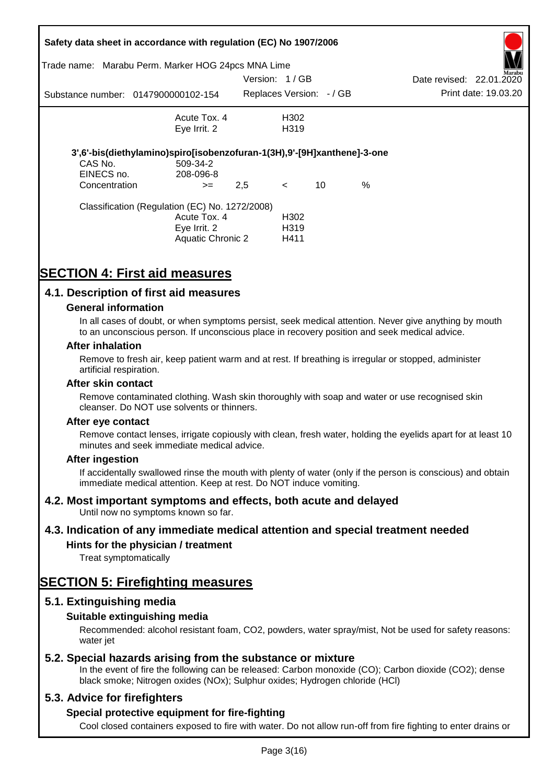|               | Safety data sheet in accordance with regulation (EC) No 1907/2006       |     |                         |    |      |                          |                      |
|---------------|-------------------------------------------------------------------------|-----|-------------------------|----|------|--------------------------|----------------------|
|               | Trade name: Marabu Perm. Marker HOG 24pcs MNA Lime                      |     |                         |    |      |                          | Aarabu               |
|               |                                                                         |     | Version: 1/GB           |    |      | Date revised: 22.01.2020 |                      |
|               | Substance number: 0147900000102-154                                     |     | Replaces Version: -/ GB |    |      |                          | Print date: 19.03.20 |
|               | Acute Tox, 4                                                            |     | H302                    |    |      |                          |                      |
|               | Eye Irrit. 2                                                            |     | H <sub>3</sub> 19       |    |      |                          |                      |
|               | 3',6'-bis(diethylamino)spiro[isobenzofuran-1(3H),9'-[9H]xanthene]-3-one |     |                         |    |      |                          |                      |
| CAS No.       | 509-34-2                                                                |     |                         |    |      |                          |                      |
| EINECS no.    | 208-096-8                                                               |     |                         |    |      |                          |                      |
| Concentration | $>=$                                                                    | 2,5 | $\lt$                   | 10 | $\%$ |                          |                      |
|               | Classification (Regulation (EC) No. 1272/2008)                          |     |                         |    |      |                          |                      |
|               | Acute Tox. 4                                                            |     | H302                    |    |      |                          |                      |
|               | Eye Irrit. 2                                                            |     | H <sub>3</sub> 19       |    |      |                          |                      |
|               | Aquatic Chronic 2                                                       |     | H411                    |    |      |                          |                      |
|               |                                                                         |     |                         |    |      |                          |                      |

# **SECTION 4: First aid measures**

## **4.1. Description of first aid measures**

### **General information**

In all cases of doubt, or when symptoms persist, seek medical attention. Never give anything by mouth to an unconscious person. If unconscious place in recovery position and seek medical advice.

#### **After inhalation**

Remove to fresh air, keep patient warm and at rest. If breathing is irregular or stopped, administer artificial respiration.

#### **After skin contact**

Remove contaminated clothing. Wash skin thoroughly with soap and water or use recognised skin cleanser. Do NOT use solvents or thinners.

#### **After eye contact**

Remove contact lenses, irrigate copiously with clean, fresh water, holding the eyelids apart for at least 10 minutes and seek immediate medical advice.

#### **After ingestion**

If accidentally swallowed rinse the mouth with plenty of water (only if the person is conscious) and obtain immediate medical attention. Keep at rest. Do NOT induce vomiting.

## **4.2. Most important symptoms and effects, both acute and delayed**

Until now no symptoms known so far.

## **4.3. Indication of any immediate medical attention and special treatment needed**

## **Hints for the physician / treatment**

Treat symptomatically

# **SECTION 5: Firefighting measures**

## **5.1. Extinguishing media**

## **Suitable extinguishing media**

Recommended: alcohol resistant foam, CO2, powders, water spray/mist, Not be used for safety reasons: water *iet* 

## **5.2. Special hazards arising from the substance or mixture**

In the event of fire the following can be released: Carbon monoxide (CO); Carbon dioxide (CO2); dense black smoke; Nitrogen oxides (NOx); Sulphur oxides; Hydrogen chloride (HCl)

## **5.3. Advice for firefighters**

## **Special protective equipment for fire-fighting**

Cool closed containers exposed to fire with water. Do not allow run-off from fire fighting to enter drains or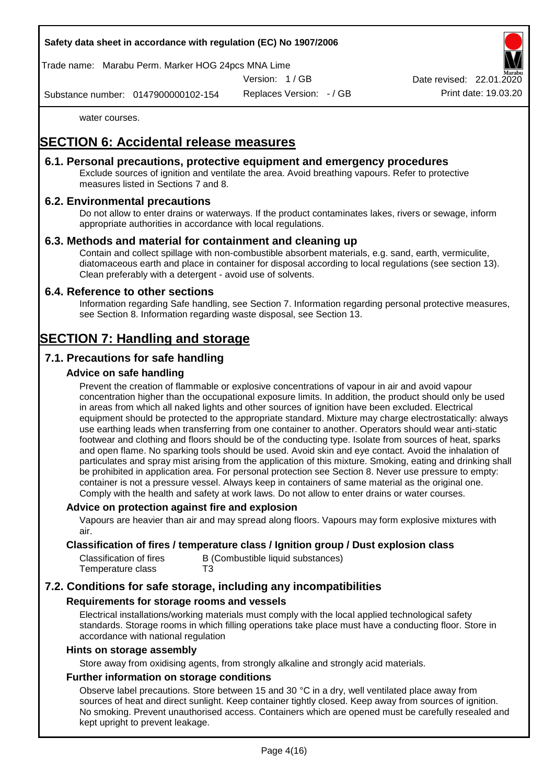## **Safety data sheet in accordance with regulation (EC) No 1907/2006**

Trade name: Marabu Perm. Marker HOG 24pcs MNA Lime

Version: 1 / GB

Date revised: 22.01.

Substance number: 0147900000102-154

Replaces Version: - / GB Print date: 19.03.20

water courses.

# **SECTION 6: Accidental release measures**

## **6.1. Personal precautions, protective equipment and emergency procedures**

Exclude sources of ignition and ventilate the area. Avoid breathing vapours. Refer to protective measures listed in Sections 7 and 8.

## **6.2. Environmental precautions**

Do not allow to enter drains or waterways. If the product contaminates lakes, rivers or sewage, inform appropriate authorities in accordance with local regulations.

### **6.3. Methods and material for containment and cleaning up**

Contain and collect spillage with non-combustible absorbent materials, e.g. sand, earth, vermiculite, diatomaceous earth and place in container for disposal according to local regulations (see section 13). Clean preferably with a detergent - avoid use of solvents.

### **6.4. Reference to other sections**

Information regarding Safe handling, see Section 7. Information regarding personal protective measures, see Section 8. Information regarding waste disposal, see Section 13.

# **SECTION 7: Handling and storage**

## **7.1. Precautions for safe handling**

### **Advice on safe handling**

Prevent the creation of flammable or explosive concentrations of vapour in air and avoid vapour concentration higher than the occupational exposure limits. In addition, the product should only be used in areas from which all naked lights and other sources of ignition have been excluded. Electrical equipment should be protected to the appropriate standard. Mixture may charge electrostatically: always use earthing leads when transferring from one container to another. Operators should wear anti-static footwear and clothing and floors should be of the conducting type. Isolate from sources of heat, sparks and open flame. No sparking tools should be used. Avoid skin and eye contact. Avoid the inhalation of particulates and spray mist arising from the application of this mixture. Smoking, eating and drinking shall be prohibited in application area. For personal protection see Section 8. Never use pressure to empty: container is not a pressure vessel. Always keep in containers of same material as the original one. Comply with the health and safety at work laws. Do not allow to enter drains or water courses.

#### **Advice on protection against fire and explosion**

Vapours are heavier than air and may spread along floors. Vapours may form explosive mixtures with air.

### **Classification of fires / temperature class / Ignition group / Dust explosion class**

| Classification of fires | B (Combustible liquid substances) |
|-------------------------|-----------------------------------|
| Temperature class       | T3                                |

## **7.2. Conditions for safe storage, including any incompatibilities**

#### **Requirements for storage rooms and vessels**

Electrical installations/working materials must comply with the local applied technological safety standards. Storage rooms in which filling operations take place must have a conducting floor. Store in accordance with national regulation

#### **Hints on storage assembly**

Store away from oxidising agents, from strongly alkaline and strongly acid materials.

### **Further information on storage conditions**

Observe label precautions. Store between 15 and 30 °C in a dry, well ventilated place away from sources of heat and direct sunlight. Keep container tightly closed. Keep away from sources of ignition. No smoking. Prevent unauthorised access. Containers which are opened must be carefully resealed and kept upright to prevent leakage.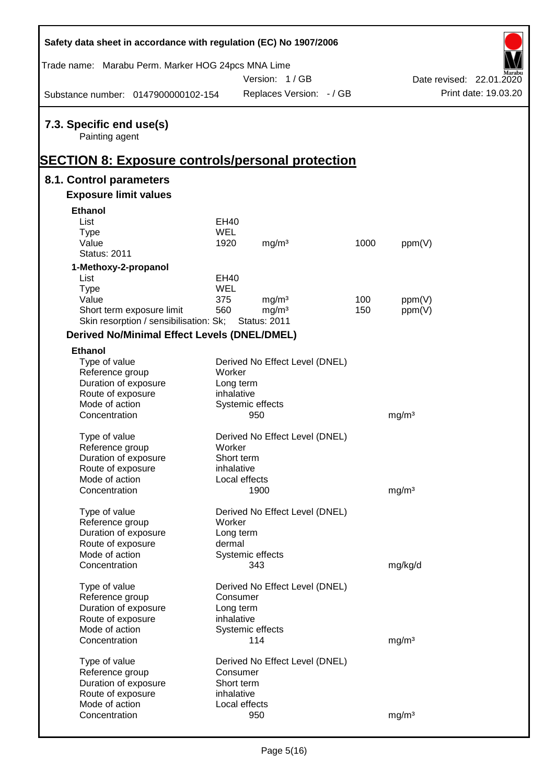| Safety data sheet in accordance with regulation (EC) No 1907/2006 |               |                                |      |                   |                          |
|-------------------------------------------------------------------|---------------|--------------------------------|------|-------------------|--------------------------|
| Trade name: Marabu Perm. Marker HOG 24pcs MNA Lime                |               |                                |      |                   |                          |
|                                                                   |               | Version: 1/GB                  |      |                   | Date revised: 22.01.2020 |
| Substance number: 0147900000102-154                               |               | Replaces Version: - / GB       |      |                   | Print date: 19.03.20     |
| 7.3. Specific end use(s)<br>Painting agent                        |               |                                |      |                   |                          |
|                                                                   |               |                                |      |                   |                          |
| <b>SECTION 8: Exposure controls/personal protection</b>           |               |                                |      |                   |                          |
| 8.1. Control parameters                                           |               |                                |      |                   |                          |
| <b>Exposure limit values</b>                                      |               |                                |      |                   |                          |
| Ethanol                                                           |               |                                |      |                   |                          |
| List                                                              | <b>EH40</b>   |                                |      |                   |                          |
| <b>Type</b>                                                       | <b>WEL</b>    |                                |      |                   |                          |
| Value                                                             | 1920          | mg/m <sup>3</sup>              | 1000 | ppm(V)            |                          |
| <b>Status: 2011</b>                                               |               |                                |      |                   |                          |
| 1-Methoxy-2-propanol                                              |               |                                |      |                   |                          |
| List                                                              | <b>EH40</b>   |                                |      |                   |                          |
| <b>Type</b>                                                       | <b>WEL</b>    |                                |      |                   |                          |
| Value                                                             | 375           | mg/m <sup>3</sup>              | 100  | ppm(V)            |                          |
| Short term exposure limit                                         | 560           | mg/m <sup>3</sup>              | 150  | ppm(V)            |                          |
| Skin resorption / sensibilisation: Sk;                            |               | <b>Status: 2011</b>            |      |                   |                          |
| <b>Derived No/Minimal Effect Levels (DNEL/DMEL)</b>               |               |                                |      |                   |                          |
| <b>Ethanol</b>                                                    |               |                                |      |                   |                          |
| Type of value<br>Reference group                                  | Worker        | Derived No Effect Level (DNEL) |      |                   |                          |
| Duration of exposure                                              | Long term     |                                |      |                   |                          |
| Route of exposure                                                 | inhalative    |                                |      |                   |                          |
| Mode of action                                                    |               | Systemic effects               |      |                   |                          |
| Concentration                                                     |               | 950                            |      | mg/m <sup>3</sup> |                          |
| Type of value                                                     |               | Derived No Effect Level (DNEL) |      |                   |                          |
| Reference group                                                   | Worker        |                                |      |                   |                          |
| Duration of exposure                                              | Short term    |                                |      |                   |                          |
| Route of exposure                                                 | inhalative    |                                |      |                   |                          |
| Mode of action                                                    | Local effects |                                |      |                   |                          |
| Concentration                                                     |               | 1900                           |      | mg/m <sup>3</sup> |                          |
| Type of value                                                     |               | Derived No Effect Level (DNEL) |      |                   |                          |
| Reference group                                                   | Worker        |                                |      |                   |                          |
| Duration of exposure                                              | Long term     |                                |      |                   |                          |
| Route of exposure                                                 | dermal        |                                |      |                   |                          |
| Mode of action                                                    |               | Systemic effects               |      |                   |                          |
| Concentration                                                     |               | 343                            |      | mg/kg/d           |                          |
| Type of value                                                     |               | Derived No Effect Level (DNEL) |      |                   |                          |
| Reference group                                                   | Consumer      |                                |      |                   |                          |
| Duration of exposure                                              | Long term     |                                |      |                   |                          |
| Route of exposure                                                 | inhalative    |                                |      |                   |                          |
| Mode of action                                                    |               | Systemic effects               |      |                   |                          |
| Concentration                                                     |               | 114                            |      | mg/m <sup>3</sup> |                          |
|                                                                   |               |                                |      |                   |                          |
| Type of value<br>Reference group                                  | Consumer      | Derived No Effect Level (DNEL) |      |                   |                          |
| Duration of exposure                                              | Short term    |                                |      |                   |                          |
| Route of exposure                                                 | inhalative    |                                |      |                   |                          |
| Mode of action                                                    | Local effects |                                |      |                   |                          |
| Concentration                                                     |               | 950                            |      | mg/m <sup>3</sup> |                          |
|                                                                   |               |                                |      |                   |                          |

 $\mathsf{r}$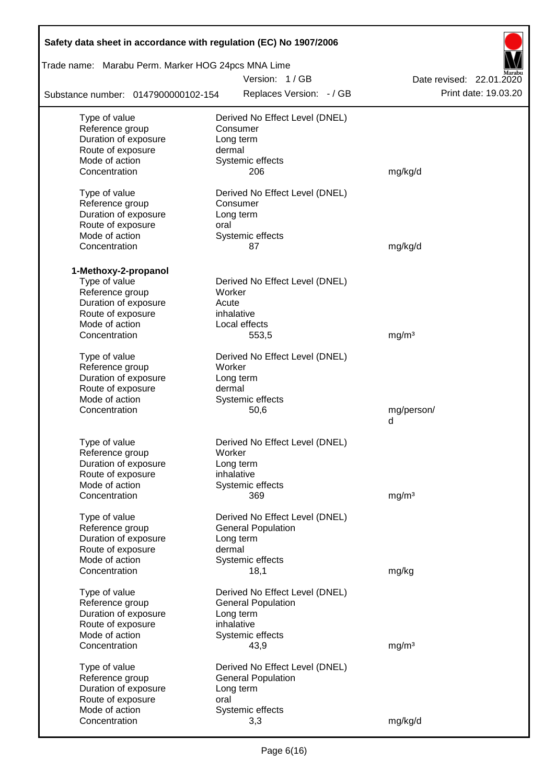| Safety data sheet in accordance with regulation (EC) No 1907/2006 |                                                    |                          |  |  |  |  |  |  |  |
|-------------------------------------------------------------------|----------------------------------------------------|--------------------------|--|--|--|--|--|--|--|
|                                                                   | Trade name: Marabu Perm. Marker HOG 24pcs MNA Lime |                          |  |  |  |  |  |  |  |
|                                                                   | Version: 1/GB                                      | Date revised: 22.01.2020 |  |  |  |  |  |  |  |
| Substance number: 0147900000102-154                               | Replaces Version: - / GB                           | Print date: 19.03.20     |  |  |  |  |  |  |  |
| Type of value                                                     | Derived No Effect Level (DNEL)                     |                          |  |  |  |  |  |  |  |
| Reference group                                                   | Consumer                                           |                          |  |  |  |  |  |  |  |
| Duration of exposure                                              | Long term                                          |                          |  |  |  |  |  |  |  |
| Route of exposure                                                 | dermal                                             |                          |  |  |  |  |  |  |  |
| Mode of action                                                    | Systemic effects                                   |                          |  |  |  |  |  |  |  |
| Concentration                                                     | 206                                                | mg/kg/d                  |  |  |  |  |  |  |  |
| Type of value                                                     | Derived No Effect Level (DNEL)                     |                          |  |  |  |  |  |  |  |
| Reference group                                                   | Consumer                                           |                          |  |  |  |  |  |  |  |
| Duration of exposure                                              | Long term                                          |                          |  |  |  |  |  |  |  |
| Route of exposure                                                 | oral                                               |                          |  |  |  |  |  |  |  |
| Mode of action                                                    | Systemic effects                                   |                          |  |  |  |  |  |  |  |
| Concentration                                                     | 87                                                 | mg/kg/d                  |  |  |  |  |  |  |  |
| 1-Methoxy-2-propanol                                              |                                                    |                          |  |  |  |  |  |  |  |
| Type of value                                                     | Derived No Effect Level (DNEL)                     |                          |  |  |  |  |  |  |  |
| Reference group                                                   | Worker                                             |                          |  |  |  |  |  |  |  |
| Duration of exposure                                              | Acute                                              |                          |  |  |  |  |  |  |  |
| Route of exposure                                                 | inhalative                                         |                          |  |  |  |  |  |  |  |
| Mode of action                                                    | Local effects                                      |                          |  |  |  |  |  |  |  |
| Concentration                                                     | 553,5                                              | mg/m <sup>3</sup>        |  |  |  |  |  |  |  |
| Type of value                                                     | Derived No Effect Level (DNEL)                     |                          |  |  |  |  |  |  |  |
| Reference group                                                   | Worker                                             |                          |  |  |  |  |  |  |  |
| Duration of exposure                                              | Long term                                          |                          |  |  |  |  |  |  |  |
| Route of exposure                                                 | dermal                                             |                          |  |  |  |  |  |  |  |
| Mode of action                                                    | Systemic effects                                   |                          |  |  |  |  |  |  |  |
| Concentration                                                     | 50,6                                               | mg/person/               |  |  |  |  |  |  |  |
|                                                                   |                                                    | d                        |  |  |  |  |  |  |  |
| Type of value                                                     | Derived No Effect Level (DNEL)                     |                          |  |  |  |  |  |  |  |
| Reference group                                                   | Worker                                             |                          |  |  |  |  |  |  |  |
| Duration of exposure                                              | Long term                                          |                          |  |  |  |  |  |  |  |
| Route of exposure                                                 | inhalative                                         |                          |  |  |  |  |  |  |  |
| Mode of action                                                    | Systemic effects                                   |                          |  |  |  |  |  |  |  |
| Concentration                                                     | 369                                                | mg/m <sup>3</sup>        |  |  |  |  |  |  |  |
| Type of value                                                     | Derived No Effect Level (DNEL)                     |                          |  |  |  |  |  |  |  |
| Reference group                                                   | <b>General Population</b>                          |                          |  |  |  |  |  |  |  |
| Duration of exposure                                              | Long term                                          |                          |  |  |  |  |  |  |  |
| Route of exposure                                                 | dermal                                             |                          |  |  |  |  |  |  |  |
| Mode of action                                                    | Systemic effects                                   |                          |  |  |  |  |  |  |  |
| Concentration                                                     | 18,1                                               | mg/kg                    |  |  |  |  |  |  |  |
| Type of value                                                     | Derived No Effect Level (DNEL)                     |                          |  |  |  |  |  |  |  |
| Reference group                                                   | <b>General Population</b>                          |                          |  |  |  |  |  |  |  |
| Duration of exposure                                              | Long term                                          |                          |  |  |  |  |  |  |  |
| Route of exposure                                                 | inhalative                                         |                          |  |  |  |  |  |  |  |
| Mode of action                                                    | Systemic effects                                   |                          |  |  |  |  |  |  |  |
| Concentration                                                     | 43,9                                               | mg/m <sup>3</sup>        |  |  |  |  |  |  |  |
| Type of value                                                     | Derived No Effect Level (DNEL)                     |                          |  |  |  |  |  |  |  |
| Reference group                                                   | <b>General Population</b>                          |                          |  |  |  |  |  |  |  |
| Duration of exposure                                              | Long term                                          |                          |  |  |  |  |  |  |  |
| Route of exposure                                                 | oral                                               |                          |  |  |  |  |  |  |  |
| Mode of action                                                    | Systemic effects                                   |                          |  |  |  |  |  |  |  |
| Concentration                                                     | 3,3                                                | mg/kg/d                  |  |  |  |  |  |  |  |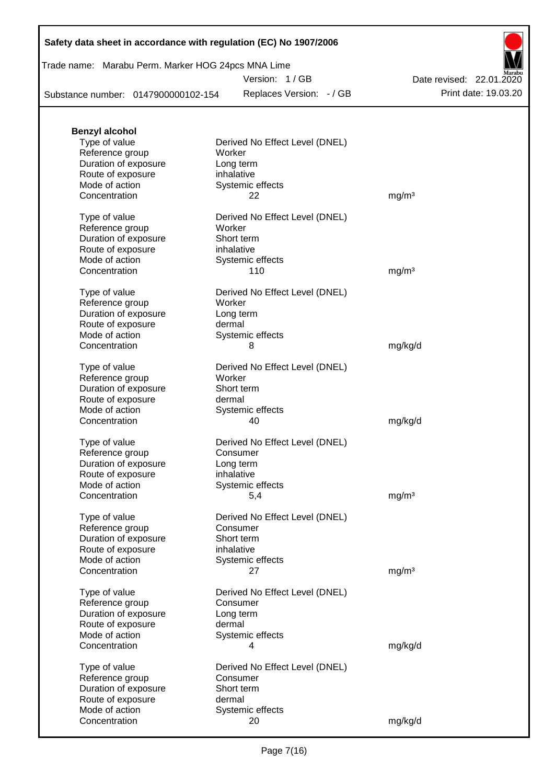|  | Safety data sheet in accordance with regulation (EC) No 1907/2006 |  |
|--|-------------------------------------------------------------------|--|
|--|-------------------------------------------------------------------|--|

## Trade name: Marabu Perm. Marker HOG 24pcs MNA Lime

Version: 1 / GB

Replaces Version: - / GB Print date: 19.03.20 Date revised: 22.01.2020

Substance number: 0147900000102-154

| <b>Benzyl alcohol</b> |                                |                   |
|-----------------------|--------------------------------|-------------------|
| Type of value         | Derived No Effect Level (DNEL) |                   |
| Reference group       | Worker                         |                   |
| Duration of exposure  | Long term                      |                   |
| Route of exposure     | inhalative                     |                   |
| Mode of action        | Systemic effects               |                   |
| Concentration         | 22                             | mg/m <sup>3</sup> |
|                       |                                |                   |
| Type of value         | Derived No Effect Level (DNEL) |                   |
| Reference group       | Worker                         |                   |
| Duration of exposure  | Short term                     |                   |
| Route of exposure     | inhalative                     |                   |
| Mode of action        | Systemic effects               |                   |
| Concentration         | 110                            | mg/m <sup>3</sup> |
|                       |                                |                   |
| Type of value         | Derived No Effect Level (DNEL) |                   |
| Reference group       | Worker                         |                   |
| Duration of exposure  | Long term                      |                   |
| Route of exposure     | dermal                         |                   |
| Mode of action        | Systemic effects               |                   |
| Concentration         | 8                              | mg/kg/d           |
|                       |                                |                   |
| Type of value         | Derived No Effect Level (DNEL) |                   |
| Reference group       | Worker                         |                   |
| Duration of exposure  | Short term                     |                   |
| Route of exposure     | dermal                         |                   |
| Mode of action        | Systemic effects               |                   |
| Concentration         | 40                             | mg/kg/d           |
|                       |                                |                   |
| Type of value         | Derived No Effect Level (DNEL) |                   |
| Reference group       | Consumer                       |                   |
| Duration of exposure  | Long term                      |                   |
| Route of exposure     | inhalative                     |                   |
| Mode of action        | Systemic effects               |                   |
| Concentration         | 5,4                            | mg/m <sup>3</sup> |
|                       |                                |                   |
| Type of value         | Derived No Effect Level (DNEL) |                   |
| Reference group       | Consumer                       |                   |
| Duration of exposure  | Short term                     |                   |
| Route of exposure     | inhalative                     |                   |
| Mode of action        | Systemic effects               |                   |
| Concentration         | 27                             | mg/m <sup>3</sup> |
|                       |                                |                   |
| Type of value         | Derived No Effect Level (DNEL) |                   |
| Reference group       | Consumer                       |                   |
| Duration of exposure  | Long term                      |                   |
| Route of exposure     | dermal                         |                   |
| Mode of action        | Systemic effects               |                   |
| Concentration         | 4                              | mg/kg/d           |
|                       |                                |                   |
| Type of value         | Derived No Effect Level (DNEL) |                   |
| Reference group       | Consumer                       |                   |
| Duration of exposure  | Short term                     |                   |
| Route of exposure     | dermal                         |                   |
| Mode of action        | Systemic effects               |                   |
| Concentration         | 20                             | mg/kg/d           |
|                       |                                |                   |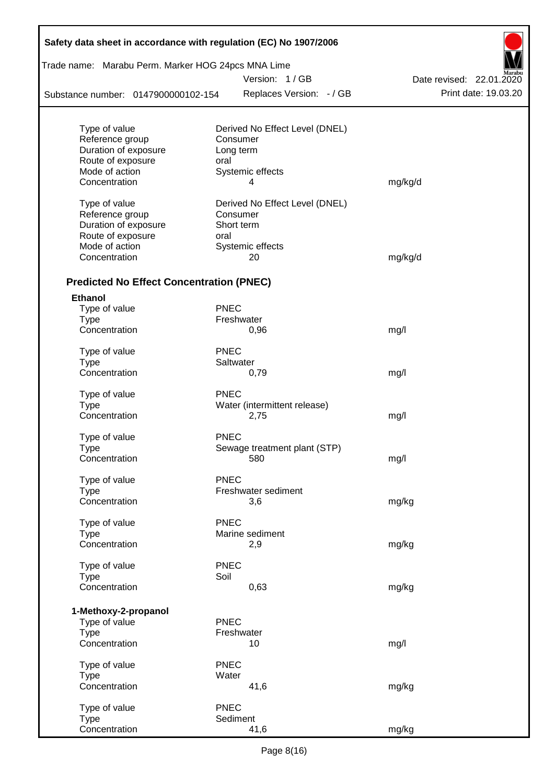| Trade name: Marabu Perm. Marker HOG 24pcs MNA Lime |             |                                |                          |
|----------------------------------------------------|-------------|--------------------------------|--------------------------|
|                                                    |             | Version: 1/GB                  | Date revised: 22.01.2020 |
| Substance number: 0147900000102-154                |             | Replaces Version: - / GB       | Print date: 19.03.20     |
|                                                    |             |                                |                          |
| Type of value                                      |             | Derived No Effect Level (DNEL) |                          |
| Reference group<br>Duration of exposure            |             | Consumer<br>Long term          |                          |
| Route of exposure                                  | oral        |                                |                          |
| Mode of action                                     |             | Systemic effects               |                          |
| Concentration                                      |             | 4                              | mg/kg/d                  |
| Type of value                                      |             | Derived No Effect Level (DNEL) |                          |
| Reference group                                    |             | Consumer                       |                          |
| Duration of exposure                               |             | Short term                     |                          |
| Route of exposure                                  | oral        |                                |                          |
| Mode of action                                     |             | Systemic effects               |                          |
| Concentration                                      |             | 20                             | mg/kg/d                  |
| <b>Predicted No Effect Concentration (PNEC)</b>    |             |                                |                          |
| <b>Ethanol</b>                                     |             |                                |                          |
| Type of value                                      | <b>PNEC</b> |                                |                          |
| <b>Type</b>                                        |             | Freshwater                     |                          |
| Concentration                                      |             | 0,96                           | mg/l                     |
| Type of value                                      | <b>PNEC</b> |                                |                          |
| <b>Type</b>                                        |             | Saltwater                      |                          |
| Concentration                                      |             | 0,79                           | mg/l                     |
| Type of value                                      | PNEC        |                                |                          |
| <b>Type</b>                                        |             | Water (intermittent release)   |                          |
| Concentration                                      |             | 2,75                           | mg/l                     |
| Type of value                                      | <b>PNEC</b> |                                |                          |
| Type                                               |             | Sewage treatment plant (STP)   |                          |
| Concentration                                      |             | 580                            | mg/l                     |
| Type of value                                      | <b>PNEC</b> |                                |                          |
| <b>Type</b>                                        |             | Freshwater sediment            |                          |
| Concentration                                      |             | 3,6                            | mg/kg                    |
| Type of value                                      | <b>PNEC</b> |                                |                          |
| <b>Type</b>                                        |             | Marine sediment                |                          |
| Concentration                                      |             | 2,9                            | mg/kg                    |
| Type of value                                      | <b>PNEC</b> |                                |                          |
| <b>Type</b>                                        | Soil        |                                |                          |
| Concentration                                      |             | 0,63                           | mg/kg                    |
| 1-Methoxy-2-propanol                               |             |                                |                          |
| Type of value                                      | <b>PNEC</b> |                                |                          |
| <b>Type</b>                                        |             | Freshwater                     |                          |
| Concentration                                      |             | 10                             | mg/l                     |
| Type of value                                      | <b>PNEC</b> |                                |                          |
| <b>Type</b>                                        | Water       |                                |                          |
| Concentration                                      |             | 41,6                           | mg/kg                    |
| Type of value                                      | <b>PNEC</b> |                                |                          |
| <b>Type</b>                                        |             | Sediment                       |                          |
| Concentration                                      |             | 41,6                           | mg/kg                    |

Г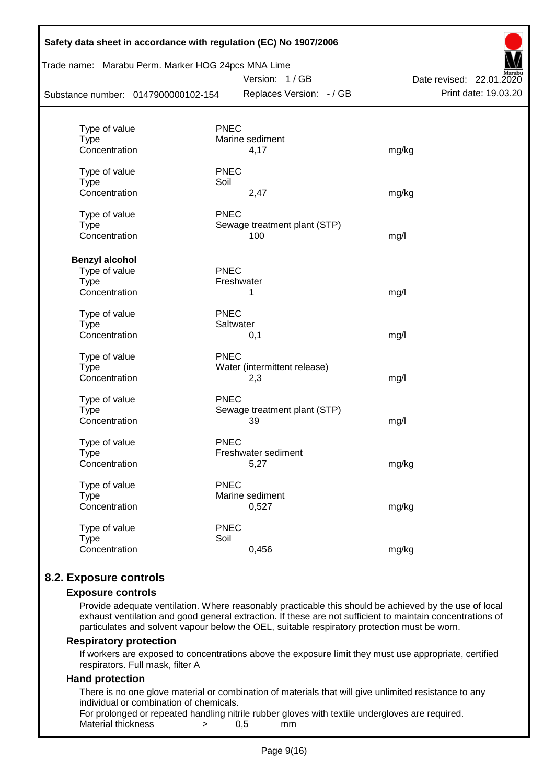| Trade name: Marabu Perm. Marker HOG 24pcs MNA Lime<br>Substance number: 0147900000102-154 | Safety data sheet in accordance with regulation (EC) No 1907/2006<br>Version: 1/GB<br>Replaces Version: - / GB | Date revised: 22.01.2020<br>Print date: 19.03.20 |
|-------------------------------------------------------------------------------------------|----------------------------------------------------------------------------------------------------------------|--------------------------------------------------|
|                                                                                           |                                                                                                                |                                                  |
| Type of value                                                                             | <b>PNEC</b>                                                                                                    |                                                  |
| <b>Type</b>                                                                               | Marine sediment                                                                                                |                                                  |
| Concentration                                                                             | 4,17                                                                                                           | mg/kg                                            |
| Type of value                                                                             | <b>PNEC</b>                                                                                                    |                                                  |
| <b>Type</b>                                                                               | Soil                                                                                                           |                                                  |
| Concentration                                                                             | 2,47                                                                                                           | mg/kg                                            |
| Type of value                                                                             | <b>PNEC</b>                                                                                                    |                                                  |
| <b>Type</b>                                                                               | Sewage treatment plant (STP)                                                                                   |                                                  |
| Concentration                                                                             | 100                                                                                                            | mg/l                                             |
| <b>Benzyl alcohol</b>                                                                     |                                                                                                                |                                                  |
| Type of value                                                                             | <b>PNEC</b>                                                                                                    |                                                  |
| <b>Type</b>                                                                               | Freshwater                                                                                                     |                                                  |
| Concentration                                                                             | 1                                                                                                              | mg/l                                             |
| Type of value                                                                             | <b>PNEC</b>                                                                                                    |                                                  |
| <b>Type</b>                                                                               | Saltwater                                                                                                      |                                                  |
| Concentration                                                                             | 0,1                                                                                                            | mg/l                                             |
| Type of value                                                                             | <b>PNEC</b>                                                                                                    |                                                  |
| <b>Type</b>                                                                               | Water (intermittent release)                                                                                   |                                                  |
| Concentration                                                                             | 2,3                                                                                                            | mg/l                                             |
| Type of value                                                                             | <b>PNEC</b>                                                                                                    |                                                  |
| <b>Type</b>                                                                               | Sewage treatment plant (STP)                                                                                   |                                                  |
| Concentration                                                                             | 39                                                                                                             | mg/l                                             |
| Type of value                                                                             | <b>PNEC</b>                                                                                                    |                                                  |
| <b>Type</b>                                                                               | Freshwater sediment                                                                                            |                                                  |
| Concentration                                                                             | 5,27                                                                                                           | mg/kg                                            |
| Type of value                                                                             | <b>PNEC</b>                                                                                                    |                                                  |
| <b>Type</b>                                                                               | Marine sediment                                                                                                |                                                  |
| Concentration                                                                             | 0,527                                                                                                          | mg/kg                                            |
| Type of value                                                                             | <b>PNEC</b>                                                                                                    |                                                  |
| <b>Type</b>                                                                               | Soil                                                                                                           |                                                  |
| Concentration                                                                             | 0,456                                                                                                          | mg/kg                                            |
|                                                                                           |                                                                                                                |                                                  |

# **8.2. Exposure controls**

#### **Exposure controls**

Provide adequate ventilation. Where reasonably practicable this should be achieved by the use of local exhaust ventilation and good general extraction. If these are not sufficient to maintain concentrations of particulates and solvent vapour below the OEL, suitable respiratory protection must be worn.

#### **Respiratory protection**

If workers are exposed to concentrations above the exposure limit they must use appropriate, certified respirators. Full mask, filter A

#### **Hand protection**

There is no one glove material or combination of materials that will give unlimited resistance to any individual or combination of chemicals.

For prolonged or repeated handling nitrile rubber gloves with textile undergloves are required. Material thickness  $\rightarrow$  0,5 mm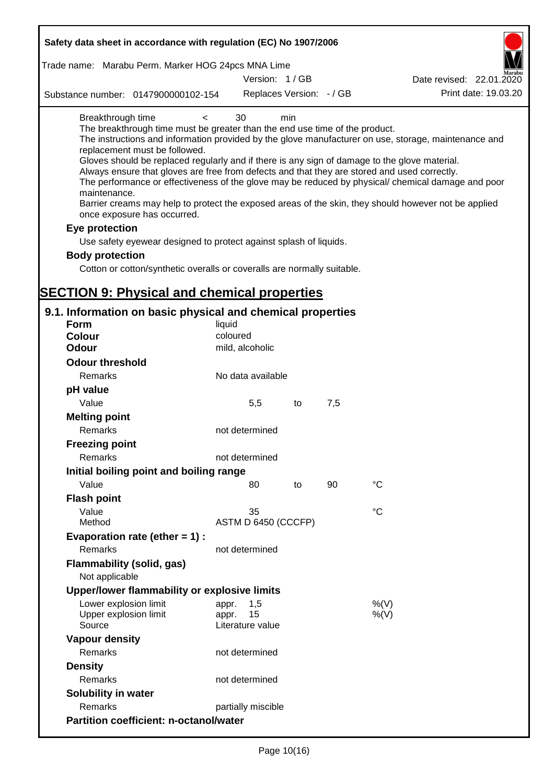| Safety data sheet in accordance with regulation (EC) No 1907/2006                                                                                                                                                                                                                                                                                                                            |                                                 |     |     |                                                                                                                                                                                                                                                                                                                    |
|----------------------------------------------------------------------------------------------------------------------------------------------------------------------------------------------------------------------------------------------------------------------------------------------------------------------------------------------------------------------------------------------|-------------------------------------------------|-----|-----|--------------------------------------------------------------------------------------------------------------------------------------------------------------------------------------------------------------------------------------------------------------------------------------------------------------------|
| Trade name: Marabu Perm. Marker HOG 24pcs MNA Lime                                                                                                                                                                                                                                                                                                                                           |                                                 |     |     |                                                                                                                                                                                                                                                                                                                    |
|                                                                                                                                                                                                                                                                                                                                                                                              | Version: 1/GB                                   |     |     | Date revised: 22.01.2020                                                                                                                                                                                                                                                                                           |
| Substance number: 0147900000102-154                                                                                                                                                                                                                                                                                                                                                          | Replaces Version: - / GB                        |     |     | Print date: 19.03.20                                                                                                                                                                                                                                                                                               |
| Breakthrough time<br>$\,<\,$<br>The breakthrough time must be greater than the end use time of the product.<br>replacement must be followed.<br>Gloves should be replaced regularly and if there is any sign of damage to the glove material.<br>Always ensure that gloves are free from defects and that they are stored and used correctly.<br>maintenance.<br>once exposure has occurred. | 30                                              | min |     | The instructions and information provided by the glove manufacturer on use, storage, maintenance and<br>The performance or effectiveness of the glove may be reduced by physical/ chemical damage and poor<br>Barrier creams may help to protect the exposed areas of the skin, they should however not be applied |
| Eye protection                                                                                                                                                                                                                                                                                                                                                                               |                                                 |     |     |                                                                                                                                                                                                                                                                                                                    |
| Use safety eyewear designed to protect against splash of liquids.                                                                                                                                                                                                                                                                                                                            |                                                 |     |     |                                                                                                                                                                                                                                                                                                                    |
| <b>Body protection</b>                                                                                                                                                                                                                                                                                                                                                                       |                                                 |     |     |                                                                                                                                                                                                                                                                                                                    |
| Cotton or cotton/synthetic overalls or coveralls are normally suitable.                                                                                                                                                                                                                                                                                                                      |                                                 |     |     |                                                                                                                                                                                                                                                                                                                    |
| <b>SECTION 9: Physical and chemical properties</b>                                                                                                                                                                                                                                                                                                                                           |                                                 |     |     |                                                                                                                                                                                                                                                                                                                    |
| 9.1. Information on basic physical and chemical properties                                                                                                                                                                                                                                                                                                                                   |                                                 |     |     |                                                                                                                                                                                                                                                                                                                    |
| Form                                                                                                                                                                                                                                                                                                                                                                                         | liquid                                          |     |     |                                                                                                                                                                                                                                                                                                                    |
| <b>Colour</b>                                                                                                                                                                                                                                                                                                                                                                                | coloured                                        |     |     |                                                                                                                                                                                                                                                                                                                    |
| <b>Odour</b>                                                                                                                                                                                                                                                                                                                                                                                 | mild, alcoholic                                 |     |     |                                                                                                                                                                                                                                                                                                                    |
| <b>Odour threshold</b>                                                                                                                                                                                                                                                                                                                                                                       |                                                 |     |     |                                                                                                                                                                                                                                                                                                                    |
| Remarks                                                                                                                                                                                                                                                                                                                                                                                      | No data available                               |     |     |                                                                                                                                                                                                                                                                                                                    |
| pH value                                                                                                                                                                                                                                                                                                                                                                                     |                                                 |     |     |                                                                                                                                                                                                                                                                                                                    |
| Value                                                                                                                                                                                                                                                                                                                                                                                        | 5,5                                             | to  | 7,5 |                                                                                                                                                                                                                                                                                                                    |
| <b>Melting point</b><br>Remarks                                                                                                                                                                                                                                                                                                                                                              | not determined                                  |     |     |                                                                                                                                                                                                                                                                                                                    |
| <b>Freezing point</b>                                                                                                                                                                                                                                                                                                                                                                        |                                                 |     |     |                                                                                                                                                                                                                                                                                                                    |
| Remarks                                                                                                                                                                                                                                                                                                                                                                                      | not determined                                  |     |     |                                                                                                                                                                                                                                                                                                                    |
| Initial boiling point and boiling range                                                                                                                                                                                                                                                                                                                                                      |                                                 |     |     |                                                                                                                                                                                                                                                                                                                    |
| Value                                                                                                                                                                                                                                                                                                                                                                                        | 80                                              | to  | 90  | $^{\circ}C$                                                                                                                                                                                                                                                                                                        |
| <b>Flash point</b>                                                                                                                                                                                                                                                                                                                                                                           |                                                 |     |     |                                                                                                                                                                                                                                                                                                                    |
| Value                                                                                                                                                                                                                                                                                                                                                                                        | 35                                              |     |     | °C                                                                                                                                                                                                                                                                                                                 |
| Method                                                                                                                                                                                                                                                                                                                                                                                       | ASTM D 6450 (CCCFP)                             |     |     |                                                                                                                                                                                                                                                                                                                    |
| Evaporation rate (ether $= 1$ ) :                                                                                                                                                                                                                                                                                                                                                            |                                                 |     |     |                                                                                                                                                                                                                                                                                                                    |
| Remarks                                                                                                                                                                                                                                                                                                                                                                                      | not determined                                  |     |     |                                                                                                                                                                                                                                                                                                                    |
| Flammability (solid, gas)<br>Not applicable                                                                                                                                                                                                                                                                                                                                                  |                                                 |     |     |                                                                                                                                                                                                                                                                                                                    |
| Upper/lower flammability or explosive limits                                                                                                                                                                                                                                                                                                                                                 |                                                 |     |     |                                                                                                                                                                                                                                                                                                                    |
| Lower explosion limit<br>Upper explosion limit<br>Source                                                                                                                                                                                                                                                                                                                                     | 1,5<br>appr.<br>15<br>appr.<br>Literature value |     |     | %(V)<br>%(V)                                                                                                                                                                                                                                                                                                       |
| <b>Vapour density</b>                                                                                                                                                                                                                                                                                                                                                                        |                                                 |     |     |                                                                                                                                                                                                                                                                                                                    |
| Remarks                                                                                                                                                                                                                                                                                                                                                                                      | not determined                                  |     |     |                                                                                                                                                                                                                                                                                                                    |
| <b>Density</b>                                                                                                                                                                                                                                                                                                                                                                               |                                                 |     |     |                                                                                                                                                                                                                                                                                                                    |
| Remarks                                                                                                                                                                                                                                                                                                                                                                                      | not determined                                  |     |     |                                                                                                                                                                                                                                                                                                                    |
| <b>Solubility in water</b>                                                                                                                                                                                                                                                                                                                                                                   |                                                 |     |     |                                                                                                                                                                                                                                                                                                                    |
| Remarks                                                                                                                                                                                                                                                                                                                                                                                      | partially miscible                              |     |     |                                                                                                                                                                                                                                                                                                                    |
| <b>Partition coefficient: n-octanol/water</b>                                                                                                                                                                                                                                                                                                                                                |                                                 |     |     |                                                                                                                                                                                                                                                                                                                    |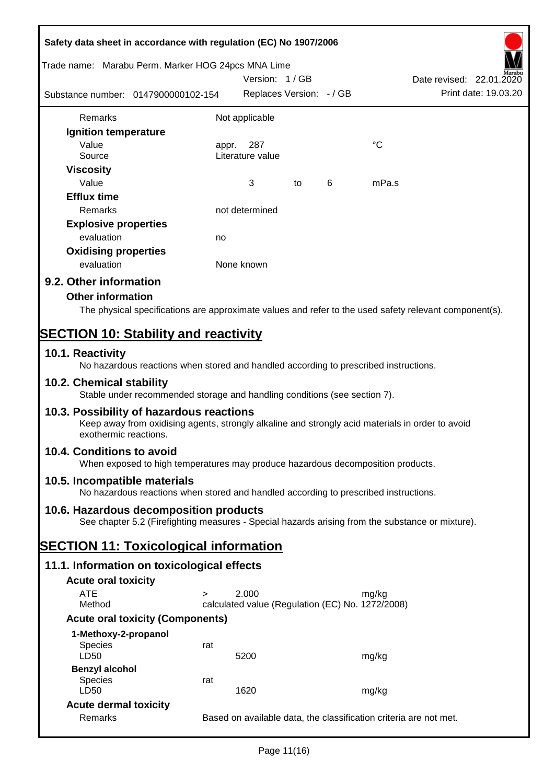| Safety data sheet in accordance with regulation (EC) No 1907/2006                                                                                                     |       |                                                                   |    |   |             |                                                  |
|-----------------------------------------------------------------------------------------------------------------------------------------------------------------------|-------|-------------------------------------------------------------------|----|---|-------------|--------------------------------------------------|
| Trade name: Marabu Perm. Marker HOG 24pcs MNA Lime                                                                                                                    |       | Version: 1/GB                                                     |    |   |             |                                                  |
| Substance number: 0147900000102-154                                                                                                                                   |       | Replaces Version: - / GB                                          |    |   |             | Date revised: 22.01.2020<br>Print date: 19.03.20 |
| Remarks                                                                                                                                                               |       | Not applicable                                                    |    |   |             |                                                  |
| Ignition temperature                                                                                                                                                  |       |                                                                   |    |   |             |                                                  |
| Value                                                                                                                                                                 | appr. | 287                                                               |    |   | $^{\circ}C$ |                                                  |
| Source                                                                                                                                                                |       | Literature value                                                  |    |   |             |                                                  |
| <b>Viscosity</b><br>Value                                                                                                                                             |       | 3                                                                 | to | 6 | mPa.s       |                                                  |
| <b>Efflux time</b>                                                                                                                                                    |       |                                                                   |    |   |             |                                                  |
| Remarks                                                                                                                                                               |       | not determined                                                    |    |   |             |                                                  |
| <b>Explosive properties</b>                                                                                                                                           |       |                                                                   |    |   |             |                                                  |
| evaluation                                                                                                                                                            | no    |                                                                   |    |   |             |                                                  |
| <b>Oxidising properties</b>                                                                                                                                           |       |                                                                   |    |   |             |                                                  |
| evaluation                                                                                                                                                            |       | None known                                                        |    |   |             |                                                  |
| 9.2. Other information                                                                                                                                                |       |                                                                   |    |   |             |                                                  |
| <b>Other information</b>                                                                                                                                              |       |                                                                   |    |   |             |                                                  |
| The physical specifications are approximate values and refer to the used safety relevant component(s).                                                                |       |                                                                   |    |   |             |                                                  |
|                                                                                                                                                                       |       |                                                                   |    |   |             |                                                  |
| <b>SECTION 10: Stability and reactivity</b>                                                                                                                           |       |                                                                   |    |   |             |                                                  |
| 10.1. Reactivity<br>No hazardous reactions when stored and handled according to prescribed instructions.                                                              |       |                                                                   |    |   |             |                                                  |
| 10.2. Chemical stability<br>Stable under recommended storage and handling conditions (see section 7).                                                                 |       |                                                                   |    |   |             |                                                  |
| 10.3. Possibility of hazardous reactions<br>Keep away from oxidising agents, strongly alkaline and strongly acid materials in order to avoid<br>exothermic reactions. |       |                                                                   |    |   |             |                                                  |
| 10.4. Conditions to avoid<br>When exposed to high temperatures may produce hazardous decomposition products.                                                          |       |                                                                   |    |   |             |                                                  |
| 10.5. Incompatible materials<br>No hazardous reactions when stored and handled according to prescribed instructions.                                                  |       |                                                                   |    |   |             |                                                  |
| 10.6. Hazardous decomposition products                                                                                                                                |       |                                                                   |    |   |             |                                                  |
| See chapter 5.2 (Firefighting measures - Special hazards arising from the substance or mixture).                                                                      |       |                                                                   |    |   |             |                                                  |
|                                                                                                                                                                       |       |                                                                   |    |   |             |                                                  |
| <b>SECTION 11: Toxicological information</b>                                                                                                                          |       |                                                                   |    |   |             |                                                  |
| 11.1. Information on toxicological effects                                                                                                                            |       |                                                                   |    |   |             |                                                  |
| <b>Acute oral toxicity</b>                                                                                                                                            |       |                                                                   |    |   |             |                                                  |
| <b>ATE</b><br>$\geq$                                                                                                                                                  |       | 2.000                                                             |    |   | mg/kg       |                                                  |
| Method                                                                                                                                                                |       | calculated value (Regulation (EC) No. 1272/2008)                  |    |   |             |                                                  |
| <b>Acute oral toxicity (Components)</b>                                                                                                                               |       |                                                                   |    |   |             |                                                  |
| 1-Methoxy-2-propanol                                                                                                                                                  |       |                                                                   |    |   |             |                                                  |
| <b>Species</b><br>LD50                                                                                                                                                | rat   | 5200                                                              |    |   | mg/kg       |                                                  |
| <b>Benzyl alcohol</b>                                                                                                                                                 |       |                                                                   |    |   |             |                                                  |
| Species                                                                                                                                                               | rat   |                                                                   |    |   |             |                                                  |
| LD50                                                                                                                                                                  |       | 1620                                                              |    |   | mg/kg       |                                                  |
| <b>Acute dermal toxicity</b>                                                                                                                                          |       |                                                                   |    |   |             |                                                  |
| Remarks                                                                                                                                                               |       | Based on available data, the classification criteria are not met. |    |   |             |                                                  |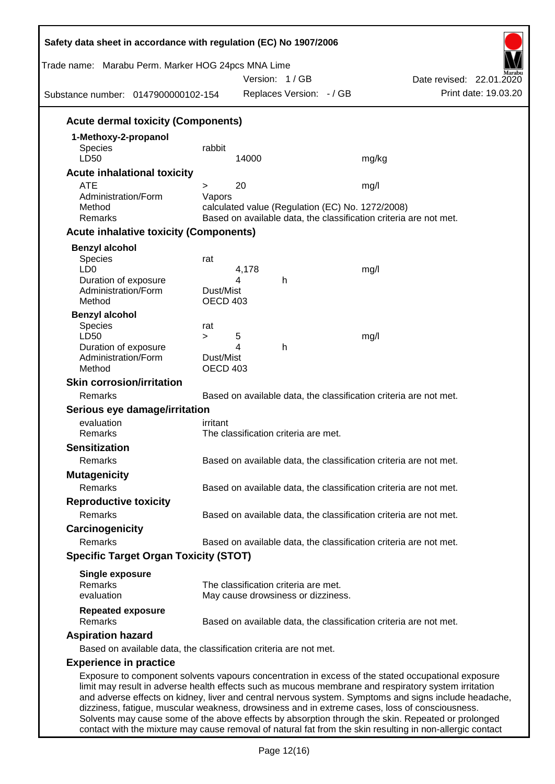| Trade name: Marabu Perm. Marker HOG 24pcs MNA Lime<br>Substance number: 0147900000102-154 |                              | Version: 1/GB<br>Replaces Version: - / GB        | Date revised: 22.01.2020<br>Print date: 19.03.20                                                                                                                                                                                                                                                                                                                                                                      |
|-------------------------------------------------------------------------------------------|------------------------------|--------------------------------------------------|-----------------------------------------------------------------------------------------------------------------------------------------------------------------------------------------------------------------------------------------------------------------------------------------------------------------------------------------------------------------------------------------------------------------------|
| <b>Acute dermal toxicity (Components)</b>                                                 |                              |                                                  |                                                                                                                                                                                                                                                                                                                                                                                                                       |
| 1-Methoxy-2-propanol                                                                      |                              |                                                  |                                                                                                                                                                                                                                                                                                                                                                                                                       |
| <b>Species</b><br>LD50                                                                    | rabbit                       | 14000                                            | mg/kg                                                                                                                                                                                                                                                                                                                                                                                                                 |
| <b>Acute inhalational toxicity</b>                                                        |                              |                                                  |                                                                                                                                                                                                                                                                                                                                                                                                                       |
| <b>ATE</b>                                                                                | >                            | 20                                               | mg/l                                                                                                                                                                                                                                                                                                                                                                                                                  |
| Administration/Form<br>Method<br>Remarks                                                  | Vapors                       | calculated value (Regulation (EC) No. 1272/2008) | Based on available data, the classification criteria are not met.                                                                                                                                                                                                                                                                                                                                                     |
| <b>Acute inhalative toxicity (Components)</b>                                             |                              |                                                  |                                                                                                                                                                                                                                                                                                                                                                                                                       |
| <b>Benzyl alcohol</b>                                                                     |                              |                                                  |                                                                                                                                                                                                                                                                                                                                                                                                                       |
| <b>Species</b><br>LD <sub>0</sub>                                                         | rat                          | 4,178                                            | mg/l                                                                                                                                                                                                                                                                                                                                                                                                                  |
| Duration of exposure<br>Administration/Form<br>Method                                     | Dust/Mist<br>OECD 403        | 4<br>h                                           |                                                                                                                                                                                                                                                                                                                                                                                                                       |
| <b>Benzyl alcohol</b>                                                                     |                              |                                                  |                                                                                                                                                                                                                                                                                                                                                                                                                       |
| <b>Species</b>                                                                            | rat                          |                                                  |                                                                                                                                                                                                                                                                                                                                                                                                                       |
| LD50                                                                                      | $\geq$                       | 5<br>4<br>h                                      | mg/l                                                                                                                                                                                                                                                                                                                                                                                                                  |
| Duration of exposure<br>Administration/Form<br>Method                                     | Dust/Mist<br><b>OECD 403</b> |                                                  |                                                                                                                                                                                                                                                                                                                                                                                                                       |
| <b>Skin corrosion/irritation</b>                                                          |                              |                                                  |                                                                                                                                                                                                                                                                                                                                                                                                                       |
| Remarks                                                                                   |                              |                                                  | Based on available data, the classification criteria are not met.                                                                                                                                                                                                                                                                                                                                                     |
| Serious eye damage/irritation                                                             |                              |                                                  |                                                                                                                                                                                                                                                                                                                                                                                                                       |
| evaluation                                                                                | irritant                     |                                                  |                                                                                                                                                                                                                                                                                                                                                                                                                       |
| Remarks                                                                                   |                              | The classification criteria are met.             |                                                                                                                                                                                                                                                                                                                                                                                                                       |
| <b>Sensitization</b>                                                                      |                              |                                                  |                                                                                                                                                                                                                                                                                                                                                                                                                       |
| Remarks                                                                                   |                              |                                                  | Based on available data, the classification criteria are not met.                                                                                                                                                                                                                                                                                                                                                     |
| <b>Mutagenicity</b>                                                                       |                              |                                                  |                                                                                                                                                                                                                                                                                                                                                                                                                       |
| Remarks                                                                                   |                              |                                                  | Based on available data, the classification criteria are not met.                                                                                                                                                                                                                                                                                                                                                     |
| <b>Reproductive toxicity</b>                                                              |                              |                                                  |                                                                                                                                                                                                                                                                                                                                                                                                                       |
| Remarks                                                                                   |                              |                                                  | Based on available data, the classification criteria are not met.                                                                                                                                                                                                                                                                                                                                                     |
| Carcinogenicity                                                                           |                              |                                                  |                                                                                                                                                                                                                                                                                                                                                                                                                       |
| Remarks                                                                                   |                              |                                                  | Based on available data, the classification criteria are not met.                                                                                                                                                                                                                                                                                                                                                     |
| <b>Specific Target Organ Toxicity (STOT)</b>                                              |                              |                                                  |                                                                                                                                                                                                                                                                                                                                                                                                                       |
| <b>Single exposure</b><br>Remarks                                                         |                              | The classification criteria are met.             |                                                                                                                                                                                                                                                                                                                                                                                                                       |
| evaluation                                                                                |                              | May cause drowsiness or dizziness.               |                                                                                                                                                                                                                                                                                                                                                                                                                       |
| <b>Repeated exposure</b><br>Remarks                                                       |                              |                                                  | Based on available data, the classification criteria are not met.                                                                                                                                                                                                                                                                                                                                                     |
| <b>Aspiration hazard</b>                                                                  |                              |                                                  |                                                                                                                                                                                                                                                                                                                                                                                                                       |
| Based on available data, the classification criteria are not met.                         |                              |                                                  |                                                                                                                                                                                                                                                                                                                                                                                                                       |
| <b>Experience in practice</b>                                                             |                              |                                                  |                                                                                                                                                                                                                                                                                                                                                                                                                       |
|                                                                                           |                              |                                                  | Exposure to component solvents vapours concentration in excess of the stated occupational exposure<br>limit may result in adverse health effects such as mucous membrane and respiratory system irritation<br>and adverse effects on kidney, liver and central nervous system. Symptoms and signs include headache,<br>dizziness, fatigue, muscular weakness, drowsiness and in extreme cases, loss of consciousness. |

Solvents may cause some of the above effects by absorption through the skin. Repeated or prolonged contact with the mixture may cause removal of natural fat from the skin resulting in non-allergic contact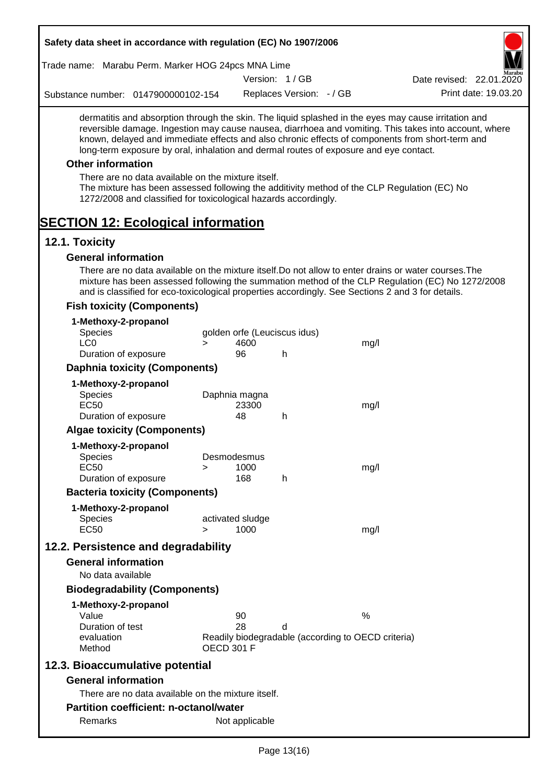| Safety data sheet in accordance with regulation (EC) No 1907/2006                                                                                                                                                                                                                                |        |                              |                          |                                                    |                                                                                                       |
|--------------------------------------------------------------------------------------------------------------------------------------------------------------------------------------------------------------------------------------------------------------------------------------------------|--------|------------------------------|--------------------------|----------------------------------------------------|-------------------------------------------------------------------------------------------------------|
| Trade name: Marabu Perm. Marker HOG 24pcs MNA Lime                                                                                                                                                                                                                                               |        |                              |                          |                                                    |                                                                                                       |
|                                                                                                                                                                                                                                                                                                  |        |                              | Version: 1/GB            |                                                    | Date revised: 22.01.2020                                                                              |
| Substance number: 0147900000102-154                                                                                                                                                                                                                                                              |        |                              | Replaces Version: - / GB |                                                    | Print date: 19.03.20                                                                                  |
| dermatitis and absorption through the skin. The liquid splashed in the eyes may cause irritation and<br>known, delayed and immediate effects and also chronic effects of components from short-term and<br>long-term exposure by oral, inhalation and dermal routes of exposure and eye contact. |        |                              |                          |                                                    | reversible damage. Ingestion may cause nausea, diarrhoea and vomiting. This takes into account, where |
| <b>Other information</b>                                                                                                                                                                                                                                                                         |        |                              |                          |                                                    |                                                                                                       |
| There are no data available on the mixture itself.<br>The mixture has been assessed following the additivity method of the CLP Regulation (EC) No<br>1272/2008 and classified for toxicological hazards accordingly.                                                                             |        |                              |                          |                                                    |                                                                                                       |
| <b>SECTION 12: Ecological information</b>                                                                                                                                                                                                                                                        |        |                              |                          |                                                    |                                                                                                       |
| 12.1. Toxicity                                                                                                                                                                                                                                                                                   |        |                              |                          |                                                    |                                                                                                       |
| <b>General information</b>                                                                                                                                                                                                                                                                       |        |                              |                          |                                                    |                                                                                                       |
| There are no data available on the mixture itself. Do not allow to enter drains or water courses. The<br>and is classified for eco-toxicological properties accordingly. See Sections 2 and 3 for details.                                                                                       |        |                              |                          |                                                    | mixture has been assessed following the summation method of the CLP Regulation (EC) No 1272/2008      |
| <b>Fish toxicity (Components)</b>                                                                                                                                                                                                                                                                |        |                              |                          |                                                    |                                                                                                       |
| 1-Methoxy-2-propanol                                                                                                                                                                                                                                                                             |        |                              |                          |                                                    |                                                                                                       |
| Species                                                                                                                                                                                                                                                                                          |        | golden orfe (Leuciscus idus) |                          |                                                    |                                                                                                       |
| LC <sub>0</sub><br>Duration of exposure                                                                                                                                                                                                                                                          | $\geq$ | 4600<br>96                   | h                        | mg/l                                               |                                                                                                       |
| <b>Daphnia toxicity (Components)</b>                                                                                                                                                                                                                                                             |        |                              |                          |                                                    |                                                                                                       |
| 1-Methoxy-2-propanol                                                                                                                                                                                                                                                                             |        |                              |                          |                                                    |                                                                                                       |
| Species                                                                                                                                                                                                                                                                                          |        | Daphnia magna                |                          |                                                    |                                                                                                       |
| <b>EC50</b>                                                                                                                                                                                                                                                                                      |        | 23300                        |                          | mg/l                                               |                                                                                                       |
| Duration of exposure                                                                                                                                                                                                                                                                             |        | 48                           | h                        |                                                    |                                                                                                       |
| <b>Algae toxicity (Components)</b>                                                                                                                                                                                                                                                               |        |                              |                          |                                                    |                                                                                                       |
| 1-Methoxy-2-propanol<br>Species                                                                                                                                                                                                                                                                  |        | Desmodesmus                  |                          |                                                    |                                                                                                       |
| EC <sub>50</sub>                                                                                                                                                                                                                                                                                 | ⋗      | 1000                         |                          | mg/l                                               |                                                                                                       |
| Duration of exposure                                                                                                                                                                                                                                                                             |        | 168                          | h                        |                                                    |                                                                                                       |
| <b>Bacteria toxicity (Components)</b>                                                                                                                                                                                                                                                            |        |                              |                          |                                                    |                                                                                                       |
| 1-Methoxy-2-propanol                                                                                                                                                                                                                                                                             |        |                              |                          |                                                    |                                                                                                       |
| <b>Species</b><br><b>EC50</b>                                                                                                                                                                                                                                                                    | $\geq$ | activated sludge<br>1000     |                          | mg/l                                               |                                                                                                       |
|                                                                                                                                                                                                                                                                                                  |        |                              |                          |                                                    |                                                                                                       |
| 12.2. Persistence and degradability<br><b>General information</b>                                                                                                                                                                                                                                |        |                              |                          |                                                    |                                                                                                       |
| No data available                                                                                                                                                                                                                                                                                |        |                              |                          |                                                    |                                                                                                       |
| <b>Biodegradability (Components)</b>                                                                                                                                                                                                                                                             |        |                              |                          |                                                    |                                                                                                       |
|                                                                                                                                                                                                                                                                                                  |        |                              |                          |                                                    |                                                                                                       |
| 1-Methoxy-2-propanol<br>Value                                                                                                                                                                                                                                                                    |        | 90                           |                          | $\frac{0}{0}$                                      |                                                                                                       |
| Duration of test                                                                                                                                                                                                                                                                                 |        | 28                           | d                        |                                                    |                                                                                                       |
| evaluation<br>Method                                                                                                                                                                                                                                                                             |        | <b>OECD 301 F</b>            |                          | Readily biodegradable (according to OECD criteria) |                                                                                                       |
| 12.3. Bioaccumulative potential                                                                                                                                                                                                                                                                  |        |                              |                          |                                                    |                                                                                                       |
| <b>General information</b>                                                                                                                                                                                                                                                                       |        |                              |                          |                                                    |                                                                                                       |
| There are no data available on the mixture itself.                                                                                                                                                                                                                                               |        |                              |                          |                                                    |                                                                                                       |
| <b>Partition coefficient: n-octanol/water</b>                                                                                                                                                                                                                                                    |        |                              |                          |                                                    |                                                                                                       |
| Remarks                                                                                                                                                                                                                                                                                          |        | Not applicable               |                          |                                                    |                                                                                                       |
|                                                                                                                                                                                                                                                                                                  |        |                              |                          |                                                    |                                                                                                       |

Г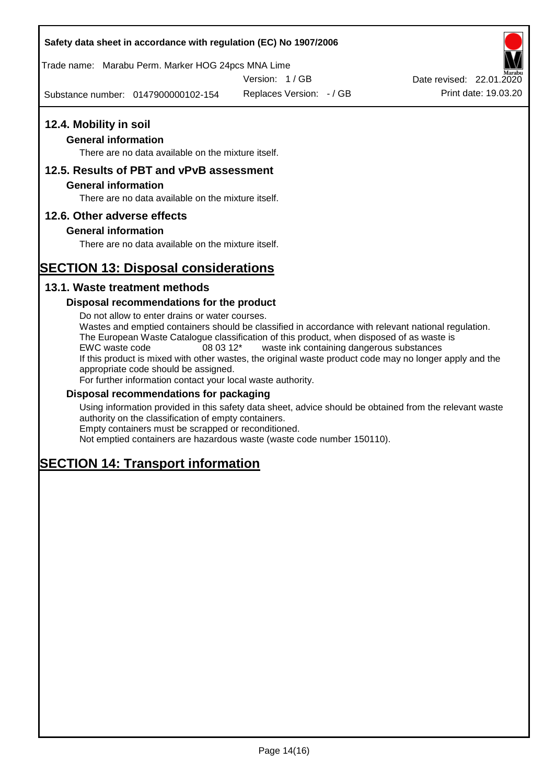## **Safety data sheet in accordance with regulation (EC) No 1907/2006**

Trade name: Marabu Perm. Marker HOG 24pcs MNA Lime

Version: 1 / GB

Substance number: 0147900000102-154

Replaces Version: - / GB Print date: 19.03.20 Date revised: 22.01.2020

## **12.4. Mobility in soil**

## **General information**

There are no data available on the mixture itself.

## **12.5. Results of PBT and vPvB assessment**

### **General information**

There are no data available on the mixture itself.

## **12.6. Other adverse effects**

## **General information**

There are no data available on the mixture itself.

# **SECTION 13: Disposal considerations**

## **13.1. Waste treatment methods**

## **Disposal recommendations for the product**

Do not allow to enter drains or water courses. Wastes and emptied containers should be classified in accordance with relevant national regulation. The European Waste Catalogue classification of this product, when disposed of as waste is EWC waste code 08 03 12\* waste ink containing dangerous substances If this product is mixed with other wastes, the original waste product code may no longer apply and the appropriate code should be assigned. For further information contact your local waste authority.

### **Disposal recommendations for packaging**

Using information provided in this safety data sheet, advice should be obtained from the relevant waste authority on the classification of empty containers. Empty containers must be scrapped or reconditioned.

Not emptied containers are hazardous waste (waste code number 150110).

# **SECTION 14: Transport information**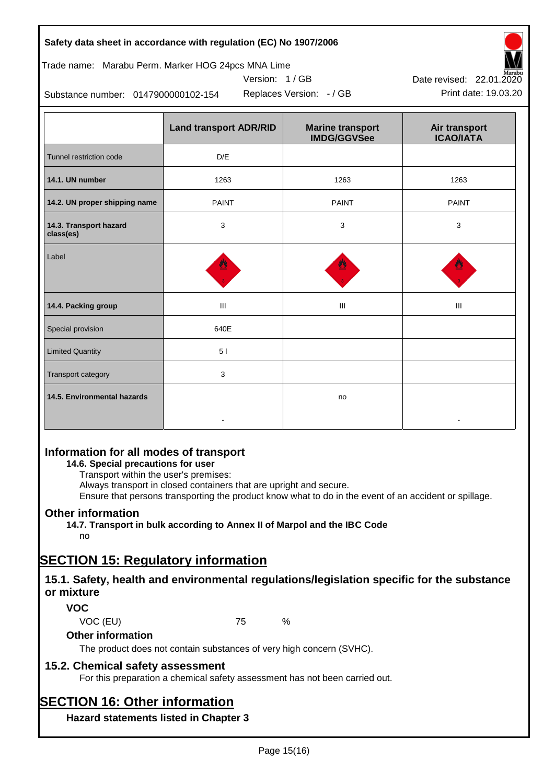| Safety data sheet in accordance with regulation (EC) No 1907/2006 |  |
|-------------------------------------------------------------------|--|
|-------------------------------------------------------------------|--|

## Trade name: Marabu Perm. Marker HOG 24pcs MNA Lime

Version: 1 / GB



Substance number: 0147900000102-154

|                                     | <b>Land transport ADR/RID</b> | <b>Marine transport</b><br><b>IMDG/GGVSee</b> | Air transport<br><b>ICAO/IATA</b> |
|-------------------------------------|-------------------------------|-----------------------------------------------|-----------------------------------|
| Tunnel restriction code             | D/E                           |                                               |                                   |
| 14.1. UN number                     | 1263                          | 1263                                          | 1263                              |
| 14.2. UN proper shipping name       | <b>PAINT</b>                  | <b>PAINT</b>                                  | <b>PAINT</b>                      |
| 14.3. Transport hazard<br>class(es) | 3                             | 3                                             | 3                                 |
| Label                               |                               |                                               |                                   |
| 14.4. Packing group                 | Ш                             | Ш                                             | Ш                                 |
| Special provision                   | 640E                          |                                               |                                   |
| <b>Limited Quantity</b>             | 51                            |                                               |                                   |
| Transport category                  | 3                             |                                               |                                   |
| 14.5. Environmental hazards         |                               | no                                            |                                   |

# **Information for all modes of transport**

## **14.6. Special precautions for user**

Transport within the user's premises:

Always transport in closed containers that are upright and secure.

Ensure that persons transporting the product know what to do in the event of an accident or spillage.

## **Other information**

**14.7. Transport in bulk according to Annex II of Marpol and the IBC Code**

# no

# **SECTION 15: Regulatory information**

## **15.1. Safety, health and environmental regulations/legislation specific for the substance or mixture**

## **VOC**

VOC (EU) 75 %

## **Other information**

The product does not contain substances of very high concern (SVHC).

## **15.2. Chemical safety assessment**

For this preparation a chemical safety assessment has not been carried out.

# **SECTION 16: Other information**

**Hazard statements listed in Chapter 3**